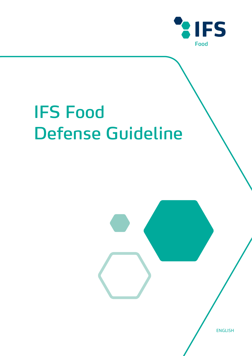

# IFS Food Defense Guideline

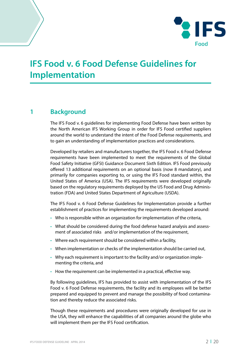

## **IFS Food v. 6 Food Defense Guidelines for Implementation**

## **1 Background**

The IFS Food v. 6 guidelines for implementing Food Defense have been written by the North American IFS Working Group in order for IFS Food certified suppliers around the world to understand the intent of the Food Defense requirements, and to gain an understanding of implementation practices and considerations.

Developed by retailers and manufacturers together, the IFS Food v. 6 Food Defense requirements have been implemented to meet the requirements of the Global Food Safety Initiative (GFSI) Guidance Document Sixth Edition. IFS Food previously offered 13 additional requirements on an optional basis (now 8 mandatory), and primarily for companies exporting to, or using the IFS Food standard within, the United States of America (USA). The IFS requirements were developed originally based on the regulatory requirements deployed by the US Food and Drug Administration (FDA) and United States Department of Agriculture (USDA).

The IFS Food v. 6 Food Defense Guidelines for Implementation provide a further establishment of practices for implementing the requirements developed around:

- Who is responsible within an organization for implementation of the criteria,
- What should be considered during the food defense hazard analysis and assessment of associated risks and/or implementation of the requirement,
- Where each requirement should be considered within a facility,
- When implementation or checks of the implementation should be carried out,
- Why each requirement is important to the facility and/or organization implementing the criteria, and
- How the requirement can be implemented in a practical, effective way.

By following guidelines, IFS has provided to assist with implementation of the IFS Food v. 6 Food Defense requirements, the facility and its employees will be better prepared and equipped to prevent and manage the possibility of food contamination and thereby reduce the associated risks.

Though these requirements and procedures were originally developed for use in the USA, they will enhance the capabilities of all companies around the globe who will implement them per the IFS Food certification.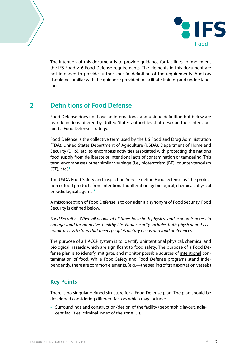

The intention of this document is to provide guidance for facilities to implement the IFS Food v. 6 Food Defense requirements. The elements in this document are not intended to provide further specific definition of the requirements. Auditors should be familiar with the guidance provided to facilitate training and understanding.

## **2 Definitions of Food Defense**

Food Defense does not have an international and unique definition but below are two definitions offered by United States authorities that describe their intent behind a Food Defense strategy.

Food Defense is the collective term used by the US Food and Drug Administration (FDA), United States Department of Agriculture (USDA), Department of Homeland Security (DHS), etc. to encompass activities associated with protecting the nation's food supply from deliberate or intentional acts of contamination or tampering. This term encompasses other similar verbiage (i.e., bioterrorism (BT), counter-terrorism (CT), etc.)**<sup>1</sup>**

The USDA Food Safety and Inspection Service define Food Defense as "the protection of food products from intentional adulteration by biological, chemical, physical or radiological agents.**<sup>2</sup>**

A misconception of Food Defense is to consider it a synonym of Food Security. Food Security is defined below.

*Food Security – When all people at all times have both physical and economic access to enough food for an active, healthy life. Food security includes both physical and economic access to food that meets people's dietary needs and food preferences.*

The purpose of a HACCP system is to identify unintentional physical, chemical and biological hazards which are significant to food safety. The purpose of a Food Defense plan is to identify, mitigate, and monitor possible sources of intentional contamination of food. While Food Safety and Food Defense programs stand independently, there are common elements. (e.g.—the sealing of transportation vessels)

## **Key Points**

There is no singular defined structure for a Food Defense plan. The plan should be developed considering different factors which may include:

• Surroundings and construction/design of the facility (geographic layout, adjacent facilities, criminal index of the zone …).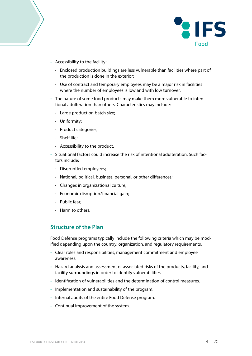

- Accessibility to the facility:
	- · Enclosed production buildings are less vulnerable than facilities where part of the production is done in the exterior;
	- · Use of contract and temporary employees may be a major risk in facilities where the number of employees is low and with low turnover.
- The nature of some food products may make them more vulnerable to intentional adulteration than others. Characteristics may include:
	- · Large production batch size;
	- · Uniformity;
	- · Product categories;
	- · Shelf life;
	- · Accessibility to the product.
- Situational factors could increase the risk of intentional adulteration. Such factors include:
	- · Disgruntled employees;
	- · National, political, business, personal, or other differences;
	- · Changes in organizational culture;
	- · Economic disruption/financial gain;
	- · Public fear;
	- · Harm to others.

#### **Structure of the Plan**

Food Defense programs typically include the following criteria which may be modified depending upon the country, organization, and regulatory requirements.

- Clear roles and responsibilities, management commitment and employee awareness.
- Hazard analysis and assessment of associated risks of the products, facility, and facility surroundings in order to identify vulnerabilities.
- Identification of vulnerabilities and the determination of control measures.
- Implementation and sustainability of the program.
- Internal audits of the entire Food Defense program.
- Continual improvement of the system.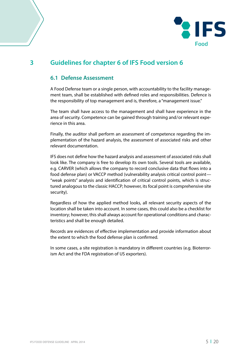

## **3 Guidelines for chapter 6 of IFS Food version 6**

### **6.1 Defense Assessment**

A Food Defense team or a single person, with accountability to the facility management team, shall be established with defined roles and responsibilities. Defence is the responsibility of top management and is, therefore, a "management issue."

The team shall have access to the management and shall have experience in the area of security. Competence can be gained through training and/or relevant experience in this area.

Finally, the auditor shall perform an assessment of competence regarding the implementation of the hazard analysis, the assessment of associated risks and other relevant documentation.

IFS does not define how the hazard analysis and assessment of associated risks shall look like. The company is free to develop its own tools. Several tools are available, e.g. CARVER (which allows the company to record conclusive data that flows into a food defense plan) or VACCP method (vulnerability analysis critical control point— "weak points" analysis and identification of critical control points, which is structured analogous to the classic HACCP; however, its focal point is comprehensive site security).

Regardless of how the applied method looks, all relevant security aspects of the location shall be taken into account. In some cases, this could also be a checklist for inventory; however, this shall always account for operational conditions and characteristics and shall be enough detailed.

Records are evidences of effective implementation and provide information about the extent to which the food defense plan is confirmed.

In some cases, a site registration is mandatory in different countries (e.g. Bioterrorism Act and the FDA registration of US exporters).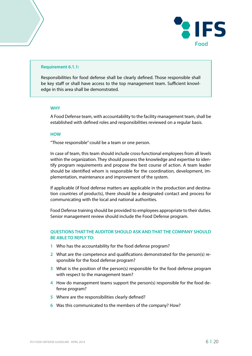

#### **Requirement 6.1.1:**

Responsibilities for food defense shall be clearly defined. Those responsible shall be key staff or shall have access to the top management team. Sufficient knowledge in this area shall be demonstrated.

#### **WHY**

A Food Defense team, with accountability to the facility management team, shall be established with defined roles and responsibilities reviewed on a regular basis.

#### **HOW**

"Those responsible" could be a team or one person.

In case of team, this team should include cross-functional employees from all levels within the organization. They should possess the knowledge and expertise to identify program requirements and propose the best course of action. A team leader should be identified whom is responsible for the coordination, development, implementation, maintenance and improvement of the system.

If applicable (if food defense matters are applicable in the production and destination countries of products), there should be a designated contact and process for communicating with the local and national authorities.

Food Defense training should be provided to employees appropriate to their duties. Senior management review should include the Food Defense program.

- **1** Who has the accountability for the food defense program?
- **2** What are the competence and qualifications demonstrated for the person(s) responsible for the food defense program?
- **3** What is the position of the person(s) responsible for the food defense program with respect to the management team?
- **4** How do management teams support the person(s) responsible for the food defense program?
- **5** Where are the responsibilities clearly defined?
- **6** Was this communicated to the members of the company? How?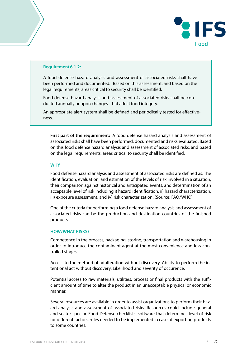

#### **Requirement 6.1.2:**

A food defense hazard analysis and assessment of associated risks shall have been performed and documented. Based on this assessment, and based on the legal requirements, areas critical to security shall be identified.

Food defense hazard analysis and assessment of associated risks shall be conducted annually or upon changes that affect food integrity.

An appropriate alert system shall be defined and periodically tested for effectiveness.

**First part of the requirement:** A food defense hazard analysis and assessment of associated risks shall have been performed, documented and risks evaluated. Based on this food defense hazard analysis and assessment of associated risks, and based on the legal requirements, areas critical to security shall be identified.

#### **WHY**

Food defense hazard analysis and assessment of associated risks are defined as: The identification, evaluation, and estimation of the levels of risk involved in a situation, their comparison against historical and anticipated events, and determination of an acceptable level of risk including i) hazard identification, ii) hazard characterization, iii) exposure assessment, and iv) risk characterization. (Source: FAO/WHO)

One of the criteria for performing a food defense hazard analysis and assessment of associated risks can be the production and destination countries of the finished products.

#### **HOW/WHAT RISKS?**

Competence in the process, packaging, storing, transportation and warehousing in order to introduce the contaminant agent at the most convenience and less controlled stages.

Access to the method of adulteration without discovery. Ability to perform the intentional act without discovery. Likelihood and severity of occurence.

Potential access to raw materials, utilities, process or final products with the sufficient amount of time to alter the product in an unacceptable physical or economic manner.

Several resources are available in order to assist organizations to perform their hazard analysis and assessment of associated risks. Resources could include general and sector specific Food Defense checklists, software that determines level of risk for different factors, rules needed to be implemented in case of exporting products to some countries.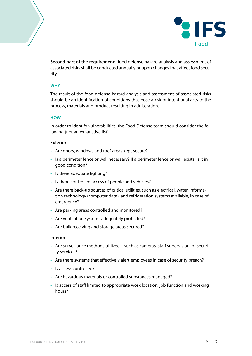

**Second part of the requirement:** food defense hazard analysis and assessment of associated risks shall be conducted annually or upon changes that affect food security.

#### **WHY**

The result of the food defense hazard analysis and assessment of associated risks should be an identification of conditions that pose a risk of intentional acts to the process, materials and product resulting in adulteration.

#### **HOW**

In order to identify vulnerabilities, the Food Defense team should consider the following (not an exhaustive list):

#### **Exterior**

- Are doors, windows and roof areas kept secure?
- Is a perimeter fence or wall necessary? If a perimeter fence or wall exists, is it in good condition?
- Is there adequate lighting?
- Is there controlled access of people and vehicles?
- Are there back-up sources of critical utilities, such as electrical, water, information technology (computer data), and refrigeration systems available, in case of emergency?
- Are parking areas controlled and monitored?
- Are ventilation systems adequately protected?
- Are bulk receiving and storage areas secured?

#### **Interior**

- Are surveillance methods utilized such as cameras, staff supervision, or security services?
- Are there systems that effectively alert employees in case of security breach?
- Is access controlled?
- Are hazardous materials or controlled substances managed?
- Is access of staff limited to appropriate work location, job function and working hours?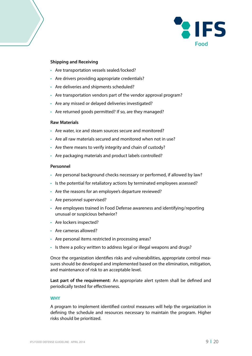

#### **Shipping and Receiving**

- Are transportation vessels sealed/locked?
- Are drivers providing appropriate credentials?
- Are deliveries and shipments scheduled?
- Are transportation vendors part of the vendor approval program?
- Are any missed or delayed deliveries investigated?
- Are returned goods permitted? If so, are they managed?

#### **Raw Materials**

- Are water, ice and steam sources secure and monitored?
- Are all raw materials secured and monitored when not in use?
- Are there means to verify integrity and chain of custody?
- Are packaging materials and product labels controlled?

#### **Personnel**

- Are personal background checks necessary or performed, if allowed by law?
- Is the potential for retaliatory actions by terminated employees assessed?
- Are the reasons for an employee's departure reviewed?
- Are personnel supervised?
- Are employees trained in Food Defense awareness and identifying/reporting unusual or suspicious behavior?
- Are lockers inspected?
- Are cameras allowed?
- Are personal items restricted in processing areas?
- Is there a policy written to address legal or illegal weapons and drugs?

Once the organization identifies risks and vulnerabilities, appropriate control measures should be developed and implemented based on the elimination, mitigation, and maintenance of risk to an acceptable level.

**Last part of the requirement:** An appropriate alert system shall be defined and periodically tested for effectiveness.

#### **WHY**

A program to implement identified control measures will help the organization in defining the schedule and resources necessary to maintain the program. Higher risks should be prioritized.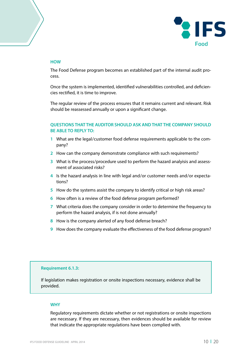

#### **HOW**

The Food Defense program becomes an established part of the internal audit process.

Once the system is implemented, identified vulnerabilities controlled, and deficiencies rectified, it is time to improve.

The regular review of the process ensures that it remains current and relevant. Risk should be reassessed annually or upon a significant change.

#### **QUESTIONS THAT THE AUDITOR SHOULD ASK AND THAT THE COMPANY SHOULD BE ABLE TO REPLY TO:**

- **1** What are the legal/customer food defense requirements applicable to the company?
- **2** How can the company demonstrate compliance with such requirements?
- **3** What is the process/procedure used to perform the hazard analyisis and assessment of associated risks?
- **4** Is the hazard analysis in line with legal and/or customer needs and/or expectations?
- **5** How do the systems assist the company to identify critical or high risk areas?
- **6** How often is a review of the food defense program performed?
- **7** What criteria does the company consider in order to determine the frequency to perform the hazard analysis, if is not done annually?
- **8** How is the company alerted of any food defense breach?
- **9** How does the company evaluate the effectiveness of the food defense program?

#### **Requirement 6.1.3:**

If legislation makes registration or onsite inspections necessary, evidence shall be provided.

#### **WHY**

Regulatory requirements dictate whether or not registrations or onsite inspections are necessary. If they are necessary, then evidences should be available for review that indicate the appropriate regulations have been complied with.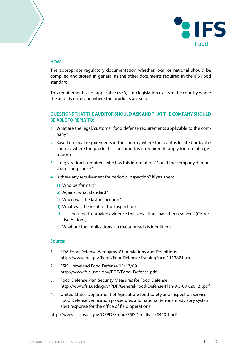

#### **HOW**

The appropriate regulatory documentation whether local or national should be compiled and stored in general as the other documents required in the IFS Food standard.

This requirement is not applicable (N/A) if no legislation exists in the country where the audit is done and where the products are sold.

#### **QUESTIONS THAT THE AUDITOR SHOULD ASK AND THAT THE COMPANY SHOULD BE ABLE TO REPLY TO:**

- **1** What are the legal/customer food defense requirements applicable to the company?
- **2** Based on legal requirements in the country where the plant is located or by the country where the product is consumed, is it required to apply for formal registration?
- **3** If registration is required, who has this information? Could the company demonstrate compliance?
- **4** Is there any requirement for periodic inspection? If yes, then:
	- **a)** Who performs it?
	- **b)** Against what standard?
	- **c)** When was the last inspection?
	- **d)** What was the result of the inspection?
	- **e)** Is it required to provide evidence that deviations have been solved? (Corrective Actions)
	- **f)** What are the implications if a major breach is identified?

#### **Source:**

- 1. FDA Food Defense Acronyms, Abbreviations and Definitions <http://www.fda.gov/Food/FoodDefense/Training/ucm111382.htm>
- 2. FSIS Homeland Food Defense 03/17/09 [http://www.fsis.usda.gov/PDF/Food\\_Defense.pdf](http://www.fsis.usda.gov/PDF/Food_Defense.pdf)
- 3. Food Defense Plan Security Measures for Food Defense [http://www.fsis.usda.gov/PDF/General-Food-Defense-Plan-9-3-09%20\\_2\\_.pdf](http://www.fsis.usda.gov/PDF/General-Food-Defense-Plan-9-3-09 _2_.pdf)
- 4. United States Department of Agriculture food safety and inspection service Food Defense verification procedures and national terrorism advisory system alert response for the office of field operations

<http://www.fsis.usda.gov/OPPDE/rdad/FSISDirectives/5420.1.pdf>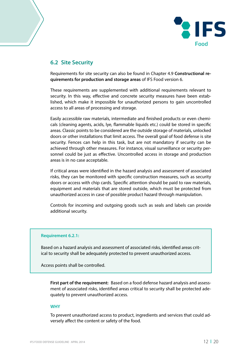

## **6.2 Site Security**

Requirements for site security can also be found in Chapter 4.9 **Constructional requirements for production and storage areas** of IFS Food version 6.

These requirements are supplemented with additional requirements relevant to security. In this way, effective and concrete security measures have been established, which make it impossible for unauthorized persons to gain uncontrolled access to all areas of processing and storage.

Easily accessible raw materials, intermediate and finished products or even chemicals (cleaning agents, acids, lye, flammable liquids etc.) could be stored in specific areas. Classic points to be considered are the outside storage of materials, unlocked doors or other installations that limit access. The overall goal of food defense is site security. Fences can help in this task, but are not mandatory if security can be achieved through other measures. For instance, visual surveillance or security personnel could be just as effective. Uncontrolled access in storage and production areas is in no case acceptable.

If critical areas were identified in the hazard analysis and assessment of associated risks, they can be monitored with specific construction measures, such as security doors or access with chip cards. Specific attention should be paid to raw materials, equipment and materials that are stored outside, which must be protected from unauthorized access in case of possible product hazard through manipulation.

Controls for incoming and outgoing goods such as seals and labels can provide additional security.

#### **Requirement 6.2.1:**

Based on a hazard analysis and assessment of associated risks, identified areas critical to security shall be adequately protected to prevent unauthorized access.

Access points shall be controlled.

**First part of the requirement:** Based on a food defense hazard analysis and assessment of associated risks, identified areas critical to security shall be protected adequately to prevent unauthorized access.

#### **WHY**

To prevent unauthorized access to product, ingredients and services that could adversely affect the content or safety of the food.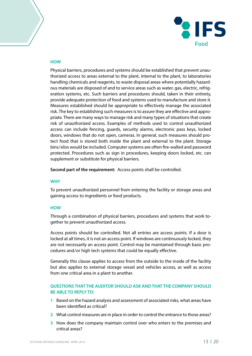

#### **HOW**

Physical barriers, procedures and systems should be established that prevent unauthorized access to areas external to the plant, internal to the plant, to laboratories handling chemicals and reagents, to waste disposal areas where potentially hazardous materials are disposed of and to service areas such as water, gas, electric, refrigeration systems, etc. Such barriers and procedures should, taken in their entirety, provide adequate protection of food and systems used to manufacture and store it. Measures established should be appropriate to effectively manage the associated risk. The key to establishing such measures is to assure they are effective and appropriate. There are many ways to manage risk and many types of situations that create risk of unauthorized access. Examples of methods used to control unauthorized access can include fencing, guards, security alarms, electronic pass keys, locked doors, windows that do not open, cameras. In general, such measures should protect food that is stored both inside the plant and external to the plant. Storage bins/silos would be included. Computer systems are often fire-walled and password protected. Procedures such as sign in procedures, keeping doors locked, etc. can supplement or substitute for physical barriers.

**Second part of the requirement:** Access points shall be controlled.

#### **WHY**

To prevent unauthorized personnel from entering the facility or storage areas and gaining access to ingredients or food products.

#### **HOW**

Through a combination of physical barriers, procedures and systems that work together to prevent unauthorized access.

Access points should be controlled. Not all entries are access points. If a door is locked at all times, it is not an access point. If windows are continuously locked, they are not necessarily an access point. Control may be maintained through basic procedures and/or high tech systems that could be equally effective.

Generally this clause applies to access from the outside to the inside of the facility but also applies to external storage vessel and vehicles access, as well as access from one critical area in a plant to another.

- **1** Based on the hazard analysis and assessment of associated risks, what areas have been identified as critical?
- **2** What control measures are in place in order to control the entrance to those areas?
- **3** How does the company maintain control over who enters to the premises and critical areas?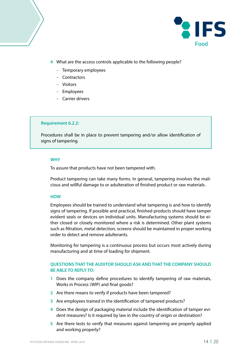

- **4** What are the access controls applicable to the following people?
	- **–** Temporary employees
	- **–** Contractors
	- **–** Visitors
	- **–** Employees
	- **–** Carrier drivers

#### **Requirement 6.2.2:**

Procedures shall be in place to prevent tampering and/or allow identification of signs of tampering.

#### **WHY**

To assure that products have not been tampered with.

Product tampering can take many forms. In general, tampering involves the malicious and willful damage to or adulteration of finished product or raw materials.

#### **HOW**

Employees should be trained to understand what tampering is and how to identify signs of tampering. If possible and practical, finished products should have tamper evident seals or devices on individual units. Manufacturing systems should be either closed or closely monitored where a risk is determined. Other plant systems such as filtration, metal detection, screens should be maintained in proper working order to detect and remove adulterants.

Monitoring for tampering is a continuous process but occurs most actively during manufacturing and at time of loading for shipment.

- **1** Does the company define procedures to identify tampering of raw materials, Works in Process (WIP) and final goods?
- **2** Are there means to verify if products have been tampered?
- **3** Are employees trained in the identification of tampered products?
- **4** Does the design of packaging material include the identification of tamper evident measures? Is it required by law in the country of origin or destination?
- **5** Are there tests to verify that measures against tampering are properly applied and working properly?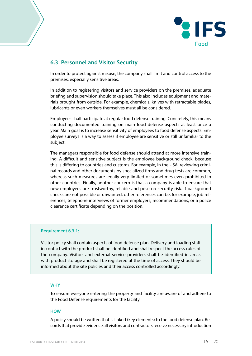

## **6.3 Personnel and Visitor Security**

In order to protect against misuse, the company shall limit and control access to the premises, especially sensitive areas.

In addition to registering visitors and service providers on the premises, adequate briefing and supervision should take place. This also includes equipment and materials brought from outside. For example, chemicals, knives with retractable blades, lubricants or even workers themselves must all be considered.

Employees shall participate at regular food defense training. Concretely, this means conducting documented training on main food defense aspects at least once a year. Main goal is to increase sensitivity of employees to food defense aspects. Employee surveys is a way to assess if employee are sensitive or still unfamiliar to the subject.

The managers responsible for food defense should attend at more intensive training. A difficult and sensitive subject is the employee background check, because this is differing to countries and customs. For example, in the USA, reviewing criminal records and other documents by specialized firms and drug tests are common, whereas such measures are legally very limited or sometimes even prohibited in other countries. Finally, another concern is that a company is able to ensure that new employees are trustworthy, reliable and pose no security risk. If background checks are not possible or unwanted, other references can be, for example, job references, telephone interviews of former employers, recommendations, or a police clearance certificate depending on the position.

#### **Requirement 6.3.1:**

Visitor policy shall contain aspects of food defense plan. Delivery and loading staff in contact with the product shall be identified and shall respect the access rules of the company. Visitors and external service providers shall be identified in areas with product storage and shall be registered at the time of access. They should be informed about the site policies and their access controlled accordingly.

#### **WHY**

To ensure everyone entering the property and facility are aware of and adhere to the Food Defense requirements for the facility.

#### **HOW**

A policy should be written that is linked (key elements) to the food defense plan. Records that provide evidence all visitors and contractors receive necessary introduction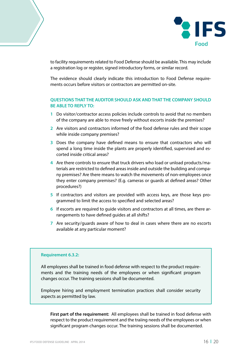

to facility requirements related to Food Defense should be available. This may include a registration log or register, signed introductory forms, or similar record.

The evidence should clearly indicate this introduction to Food Defense requirements occurs before visitors or contractors are permitted on-site.

#### **QUESTIONS THAT THE AUDITOR SHOULD ASK AND THAT THE COMPANY SHOULD BE ABLE TO REPLY TO:**

- **1** Do visitor/contractor access policies include controls to avoid that no members of the company are able to move freely without escorts inside the premises?
- **2** Are visitors and contractors informed of the food defense rules and their scope while inside company premises?
- **3** Does the company have defined means to ensure that contractors who will spend a long time inside the plants are properly identified, supervised and escorted inside critical areas?
- **4** Are there controls to ensure that truck drivers who load or unload products/materials are restricted to defined areas inside and outside the building and company premises? Are there means to watch the movements of non-employees once they enter company premises? (E.g. cameras or guards at defined areas? Other procedures?)
- **5** If contractors and visitors are provided with access keys, are those keys programmed to limit the access to specified and selected areas?
- **6** If escorts are required to guide visitors and contractors at all times, are there arrangements to have defined guides at all shifts?
- **7** Are security/guards aware of how to deal in cases where there are no escorts available at any particular moment?

#### **Requirement 6.3.2:**

All employees shall be trained in food defense with respect to the product requirements and the training needs of the employees or when significant program changes occur. The training sessions shall be documented.

Employee hiring and employment termination practices shall consider security aspects as permitted by law.

**First part of the requirement:** All employees shall be trained in food defense with respect to the product requirement and the traiing needs of the employees or when significant program changes occur. The training sessions shall be documented.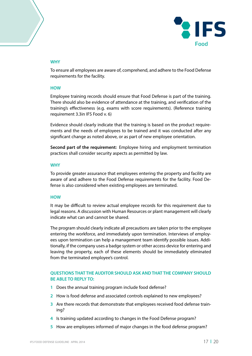

#### **WHY**

To ensure all employees are aware of, comprehend, and adhere to the Food Defense requirements for the facility.

#### **HOW**

Employee training records should ensure that Food Defense is part of the training. There should also be evidence of attendance at the training, and verification of the training's effectiveness (e.g. exams with score requirements). (Reference training requirement 3.3in IFS Food v. 6)

Evidence should clearly indicate that the training is based on the product requirements and the needs of employees to be trained and it was conducted after any significant change as noted above, or as part of new employee orientation.

**Second part of the requirement:** Employee hiring and employment termination practices shall consider security aspects as permitted by law.

#### **WHY**

To provide greater assurance that employees entering the property and facility are aware of and adhere to the Food Defense requirements for the facility. Food Defense is also considered when existing employees are terminated.

#### **HOW**

It may be difficult to review actual employee records for this requirement due to legal reasons. A discussion with Human Resources or plant management will clearly indicate what can and cannot be shared.

The program should clearly indicate all precautions are taken prior to the employee entering the workforce, and immediately upon termination. Interviews of employees upon termination can help a management team identify possible issues. Additionally, if the company uses a badge system or other access device for entering and leaving the property, each of these elements should be immediately eliminated from the terminated employee's control.

- **1** Does the annual training program include food defense?
- **2** How is food defense and associated controls explained to new employees?
- **3** Are there records that demonstrate that employees received food defense training?
- **4** Is training updated according to changes in the Food Defense program?
- **5** How are employees informed of major changes in the food defense program?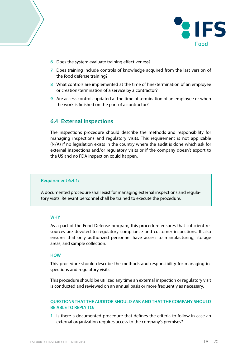

- **6** Does the system evaluate training effectiveness?
- **7** Does training include controls of knowledge acquired from the last version of the food defense training?
- **8** What controls are implemented at the time of hire/termination of an employee or creation/termination of a service by a contractor?
- **9** Are access controls updated at the time of termination of an employee or when the work is finished on the part of a contractor?

#### **6.4 External Inspections**

The inspections procedure should describe the methods and responsibility for managing inspections and regulatory visits. This requirement is not applicable (N/A) if no legislation exists in the country where the audit is done which ask for external inspections and/or regulatory visits or if the company doesn't export to the US and no FDA inspection could happen.

#### **Requirement 6.4.1:**

A documented procedure shall exist for managing external inspections and regulatory visits. Relevant personnel shall be trained to execute the procedure.

#### **WHY**

As a part of the Food Defense program, this procedure ensures that sufficient resources are devoted to regulatory compliance and customer inspections. It also ensures that only authorized personnel have access to manufacturing, storage areas, and sample collection.

#### **HOW**

This procedure should describe the methods and responsibility for managing inspections and regulatory visits.

This procedure should be utilized any time an external inspection or regulatory visit is conducted and reviewed on an annual basis or more frequently as necessary.

#### **QUESTIONS THAT THE AUDITOR SHOULD ASK AND THAT THE COMPANY SHOULD BE ABLE TO REPLY TO:**

**1** Is there a documented procedure that defines the criteria to follow in case an external organization requires access to the company's premises?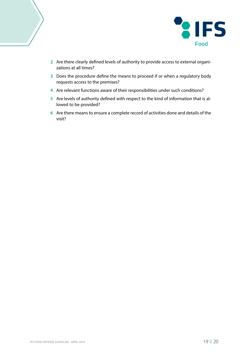



- **2** Are there clearly defined levels of authority to provide access to external organizations at all times?
- **3** Does the procedure define the means to proceed if or when a regulatory body requests access to the premises?
- **4** Are relevant functions aware of their responsibilities under such conditions?
- **5** Are levels of authority defined with respect to the kind of information that is allowed to be provided?
- **6** Are there means to ensure a complete record of activities done and details of the visit?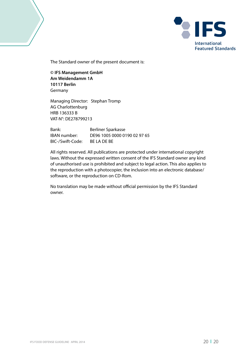

The Standard owner of the present document is:

**© IFS Management GmbH Am Weidendamm 1A 10117 Berlin** Germany

Managing Director: Stephan Tromp AG Charlottenburg HRB 136333 B VAT-N°: DE278799213

Bank: Berliner Sparkasse IBAN number: DE96 1005 0000 0190 02 97 65 BIC-/Swift-Code: BE LA DE BE

All rights reserved. All publications are protected under international copyright laws. Without the expressed written consent of the IFS Standard owner any kind of unauthorised use is prohibited and subject to legal action. This also applies to the reproduction with a photocopier, the inclusion into an electronic database/ software, or the reproduction on CD-Rom.

No translation may be made without official permission by the IFS Standard owner.